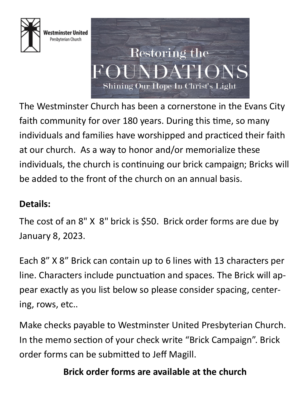

Vestminster United Presbyterian Church



The Westminster Church has been a cornerstone in the Evans City faith community for over 180 years. During this time, so many individuals and families have worshipped and practiced their faith at our church. As a way to honor and/or memorialize these individuals, the church is continuing our brick campaign; Bricks will be added to the front of the church on an annual basis.

## **Details:**

The cost of an 8" X 8" brick is \$50. Brick order forms are due by January 8, 2023.

Each 8" X 8" Brick can contain up to 6 lines with 13 characters per line. Characters include punctuation and spaces. The Brick will appear exactly as you list below so please consider spacing, centering, rows, etc..

Make checks payable to Westminster United Presbyterian Church. In the memo section of your check write "Brick Campaign". Brick order forms can be submitted to Jeff Magill.

## **Brick order forms are available at the church**